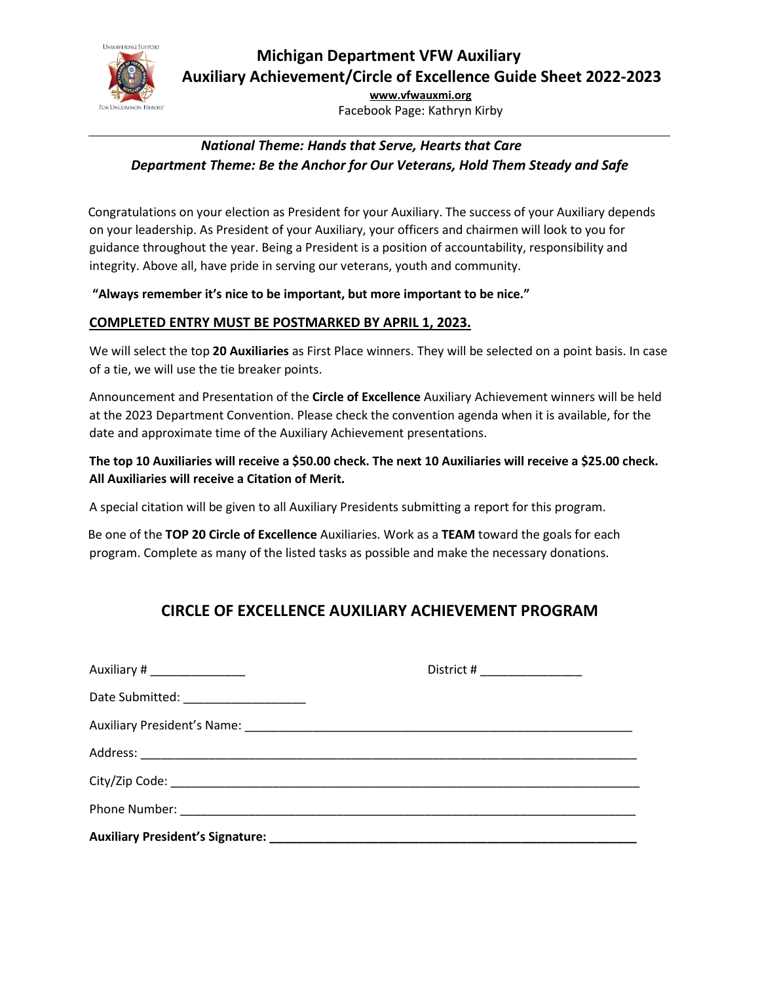

**[www.vfwauxmi.org](http://www.vfwauxmi.org/)** Facebook Page: Kathryn Kirby

## *National Theme: Hands that Serve, Hearts that Care Department Theme: Be the Anchor for Our Veterans, Hold Them Steady and Safe*

 Congratulations on your election as President for your Auxiliary. The success of your Auxiliary depends on your leadership. As President of your Auxiliary, your officers and chairmen will look to you for guidance throughout the year. Being a President is a position of accountability, responsibility and integrity. Above all, have pride in serving our veterans, youth and community.

**"Always remember it's nice to be important, but more important to be nice."** 

#### **COMPLETED ENTRY MUST BE POSTMARKED BY APRIL 1, 2023.**

We will select the top **20 Auxiliaries** as First Place winners. They will be selected on a point basis. In case of a tie, we will use the tie breaker points.

Announcement and Presentation of the **Circle of Excellence** Auxiliary Achievement winners will be held at the 2023 Department Convention. Please check the convention agenda when it is available, for the date and approximate time of the Auxiliary Achievement presentations.

#### **The top 10 Auxiliaries will receive a \$50.00 check. The next 10 Auxiliaries will receive a \$25.00 check. All Auxiliaries will receive a Citation of Merit.**

A special citation will be given to all Auxiliary Presidents submitting a report for this program.

 Be one of the **TOP 20 Circle of Excellence** Auxiliaries. Work as a **TEAM** toward the goals for each program. Complete as many of the listed tasks as possible and make the necessary donations.

# **CIRCLE OF EXCELLENCE AUXILIARY ACHIEVEMENT PROGRAM**

| Auxiliary # __________________        | District # _________________ |
|---------------------------------------|------------------------------|
| Date Submitted: _____________________ |                              |
|                                       |                              |
|                                       |                              |
|                                       |                              |
|                                       |                              |
|                                       |                              |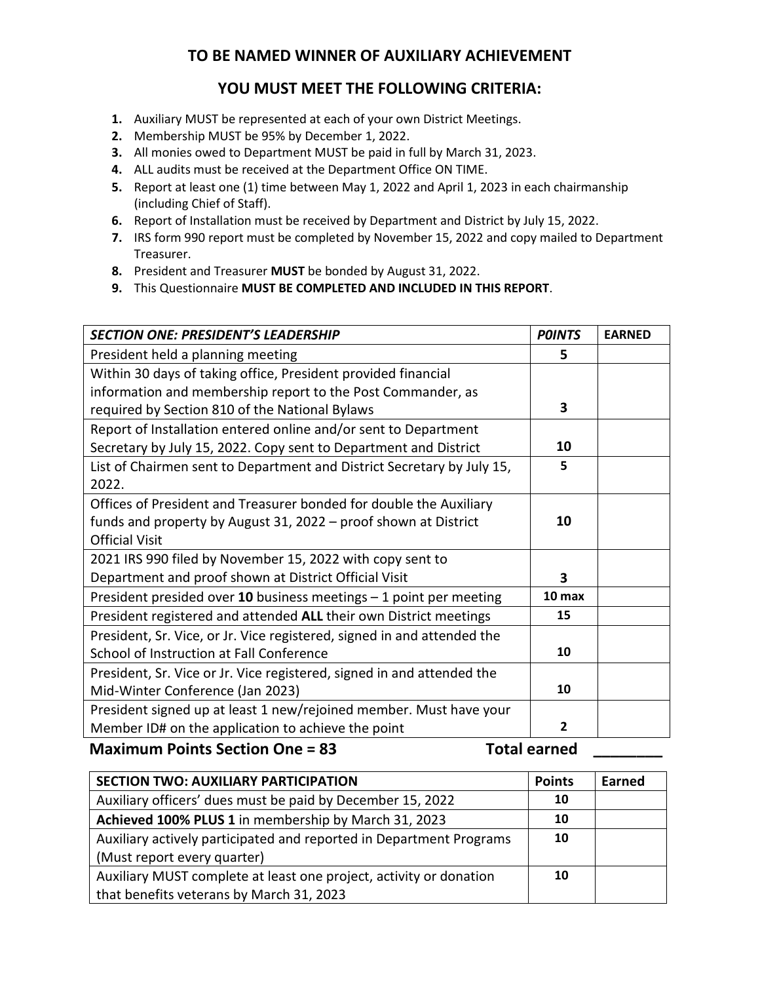## **TO BE NAMED WINNER OF AUXILIARY ACHIEVEMENT**

## **YOU MUST MEET THE FOLLOWING CRITERIA:**

- **1.** Auxiliary MUST be represented at each of your own District Meetings.
- **2.** Membership MUST be 95% by December 1, 2022.
- **3.** All monies owed to Department MUST be paid in full by March 31, 2023.
- **4.** ALL audits must be received at the Department Office ON TIME.
- **5.** Report at least one (1) time between May 1, 2022 and April 1, 2023 in each chairmanship (including Chief of Staff).
- **6.** Report of Installation must be received by Department and District by July 15, 2022.
- **7.** IRS form 990 report must be completed by November 15, 2022 and copy mailed to Department Treasurer.
- **8.** President and Treasurer **MUST** be bonded by August 31, 2022.
- **9.** This Questionnaire **MUST BE COMPLETED AND INCLUDED IN THIS REPORT**.

| <b>SECTION ONE: PRESIDENT'S LEADERSHIP</b>                                                                                                                                                                                                                                                                                                     | <b>POINTS</b> | <b>EARNED</b> |
|------------------------------------------------------------------------------------------------------------------------------------------------------------------------------------------------------------------------------------------------------------------------------------------------------------------------------------------------|---------------|---------------|
| President held a planning meeting                                                                                                                                                                                                                                                                                                              | 5             |               |
| Within 30 days of taking office, President provided financial                                                                                                                                                                                                                                                                                  |               |               |
| information and membership report to the Post Commander, as                                                                                                                                                                                                                                                                                    |               |               |
| required by Section 810 of the National Bylaws                                                                                                                                                                                                                                                                                                 | 3             |               |
| Report of Installation entered online and/or sent to Department                                                                                                                                                                                                                                                                                |               |               |
| Secretary by July 15, 2022. Copy sent to Department and District                                                                                                                                                                                                                                                                               | 10            |               |
| List of Chairmen sent to Department and District Secretary by July 15,                                                                                                                                                                                                                                                                         | 5             |               |
| 2022.                                                                                                                                                                                                                                                                                                                                          |               |               |
| Offices of President and Treasurer bonded for double the Auxiliary                                                                                                                                                                                                                                                                             |               |               |
| funds and property by August 31, 2022 – proof shown at District                                                                                                                                                                                                                                                                                | 10            |               |
| <b>Official Visit</b>                                                                                                                                                                                                                                                                                                                          |               |               |
| 2021 IRS 990 filed by November 15, 2022 with copy sent to                                                                                                                                                                                                                                                                                      |               |               |
| Department and proof shown at District Official Visit                                                                                                                                                                                                                                                                                          | 3             |               |
| President presided over 10 business meetings - 1 point per meeting                                                                                                                                                                                                                                                                             | 10 max        |               |
| President registered and attended ALL their own District meetings                                                                                                                                                                                                                                                                              | 15            |               |
| President, Sr. Vice, or Jr. Vice registered, signed in and attended the                                                                                                                                                                                                                                                                        |               |               |
| School of Instruction at Fall Conference                                                                                                                                                                                                                                                                                                       | 10            |               |
| President, Sr. Vice or Jr. Vice registered, signed in and attended the                                                                                                                                                                                                                                                                         |               |               |
| Mid-Winter Conference (Jan 2023)                                                                                                                                                                                                                                                                                                               | 10            |               |
| President signed up at least 1 new/rejoined member. Must have your                                                                                                                                                                                                                                                                             |               |               |
| Member ID# on the application to achieve the point                                                                                                                                                                                                                                                                                             | $\mathbf{2}$  |               |
| $\mathbf{A}$ , $\mathbf{A}$ , $\mathbf{A}$ , $\mathbf{A}$ , $\mathbf{A}$ , $\mathbf{A}$ , $\mathbf{A}$ , $\mathbf{A}$ , $\mathbf{A}$ , $\mathbf{A}$ , $\mathbf{A}$ , $\mathbf{A}$ , $\mathbf{A}$ , $\mathbf{A}$ , $\mathbf{A}$ , $\mathbf{A}$ , $\mathbf{A}$ , $\mathbf{A}$ , $\mathbf{A}$ , $\mathbf{A}$ , $\mathbf{A}$ , $\mathbf{A}$ ,<br>. |               |               |

Maximum Points Section One = 83 Total earned \_\_\_\_\_\_\_

| <b>SECTION TWO: AUXILIARY PARTICIPATION</b>                         | <b>Points</b> | Earned |
|---------------------------------------------------------------------|---------------|--------|
| Auxiliary officers' dues must be paid by December 15, 2022          | 10            |        |
| Achieved 100% PLUS 1 in membership by March 31, 2023                | 10            |        |
| Auxiliary actively participated and reported in Department Programs | 10            |        |
| (Must report every quarter)                                         |               |        |
| Auxiliary MUST complete at least one project, activity or donation  | 10            |        |
| that benefits veterans by March 31, 2023                            |               |        |